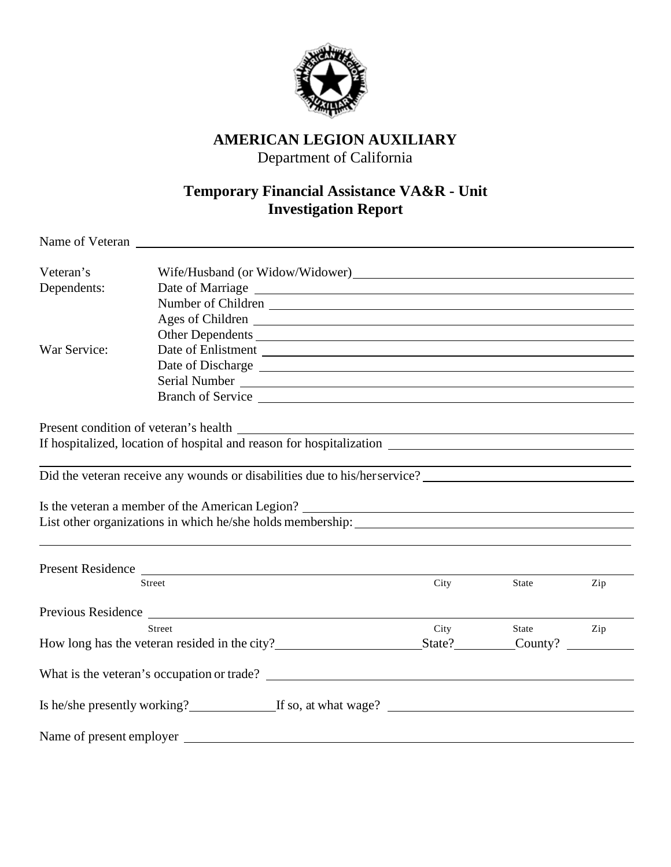

## **AMERICAN LEGION AUXILIARY**

Department of California

## **Temporary Financial Assistance VA&R - Unit Investigation Report**

| Veteran's                |                                                                           |      |       |     |  |
|--------------------------|---------------------------------------------------------------------------|------|-------|-----|--|
| Dependents:              |                                                                           |      |       |     |  |
|                          | Number of Children                                                        |      |       |     |  |
|                          | Ages of Children                                                          |      |       |     |  |
|                          | Other Dependents                                                          |      |       |     |  |
| War Service:             |                                                                           |      |       |     |  |
|                          | Date of Discharge Lawrence and Section 2014 and 2016                      |      |       |     |  |
|                          |                                                                           |      |       |     |  |
|                          |                                                                           |      |       |     |  |
|                          |                                                                           |      |       |     |  |
|                          |                                                                           |      |       |     |  |
|                          | If hospitalized, location of hospital and reason for hospitalization      |      |       |     |  |
|                          |                                                                           |      |       |     |  |
|                          | Did the veteran receive any wounds or disabilities due to his/herservice? |      |       |     |  |
|                          |                                                                           |      |       |     |  |
|                          | Is the veteran a member of the American Legion?                           |      |       |     |  |
|                          | List other organizations in which he/she holds membership:                |      |       |     |  |
|                          |                                                                           |      |       |     |  |
|                          |                                                                           |      |       |     |  |
|                          | Present Residence<br><b>Street</b>                                        | City | State | Zip |  |
|                          |                                                                           |      |       |     |  |
|                          |                                                                           |      |       |     |  |
|                          | Street                                                                    | City | State | Zip |  |
|                          | How long has the veteran resided in the city?<br>State? County?           |      |       |     |  |
|                          |                                                                           |      |       |     |  |
|                          | What is the veteran's occupation or trade?                                |      |       |     |  |
|                          | Is he/she presently working? If so, at what wage?                         |      |       |     |  |
| Name of present employer |                                                                           |      |       |     |  |